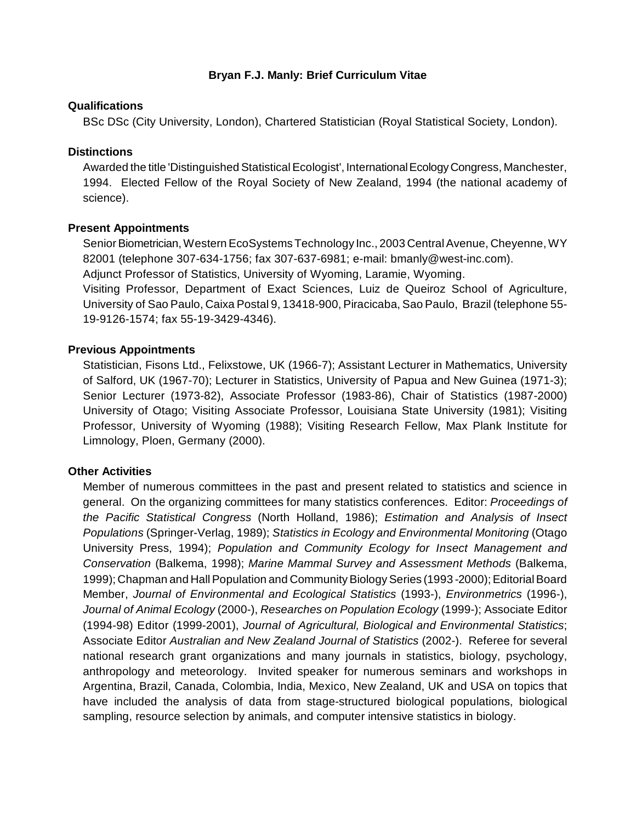# **Bryan F.J. Manly: Brief Curriculum Vitae**

#### **Qualifications**

BSc DSc (City University, London), Chartered Statistician (Royal Statistical Society, London).

# **Distinctions**

Awarded the title 'Distinguished Statistical Ecologist', International Ecology Congress, Manchester, 1994. Elected Fellow of the Royal Society of New Zealand, 1994 (the national academy of science).

### **Present Appointments**

Senior Biometrician, Western EcoSystems Technology Inc., 2003 Central Avenue, Cheyenne, WY 82001 (telephone 307-634-1756; fax 307-637-6981; e-mail: bmanly@west-inc.com).

Adjunct Professor of Statistics, University of Wyoming, Laramie, Wyoming.

Visiting Professor, Department of Exact Sciences, Luiz de Queiroz School of Agriculture, University of Sao Paulo, Caixa Postal 9, 13418-900, Piracicaba, Sao Paulo, Brazil (telephone 55- 19-9126-1574; fax 55-19-3429-4346).

### **Previous Appointments**

Statistician, Fisons Ltd., Felixstowe, UK (1966-7); Assistant Lecturer in Mathematics, University of Salford, UK (1967-70); Lecturer in Statistics, University of Papua and New Guinea (1971-3); Senior Lecturer (1973-82), Associate Professor (1983-86), Chair of Statistics (1987-2000) University of Otago; Visiting Associate Professor, Louisiana State University (1981); Visiting Professor, University of Wyoming (1988); Visiting Research Fellow, Max Plank Institute for Limnology, Ploen, Germany (2000).

# **Other Activities**

Member of numerous committees in the past and present related to statistics and science in general. On the organizing committees for many statistics conferences. Editor: *Proceedings of the Pacific Statistical Congress* (North Holland, 1986); *Estimation and Analysis of Insect Populations* (Springer-Verlag, 1989); *Statistics in Ecology and Environmental Monitoring* (Otago University Press, 1994); *Population and Community Ecology for Insect Management and Conservation* (Balkema, 1998); *Marine Mammal Survey and Assessment Methods* (Balkema, 1999); Chapman and Hall Population and Community Biology Series (1993 -2000); Editorial Board Member, *Journal of Environmental and Ecological Statistics* (1993-), *Environmetrics* (1996-), *Journal of Animal Ecology* (2000-), *Researches on Population Ecology* (1999-); Associate Editor (1994-98) Editor (1999-2001), *Journal of Agricultural, Biological and Environmental Statistics*; Associate Editor *Australian and New Zealand Journal of Statistics* (2002-). Referee for several national research grant organizations and many journals in statistics, biology, psychology, anthropology and meteorology. Invited speaker for numerous seminars and workshops in Argentina, Brazil, Canada, Colombia, India, Mexico, New Zealand, UK and USA on topics that have included the analysis of data from stage-structured biological populations, biological sampling, resource selection by animals, and computer intensive statistics in biology.